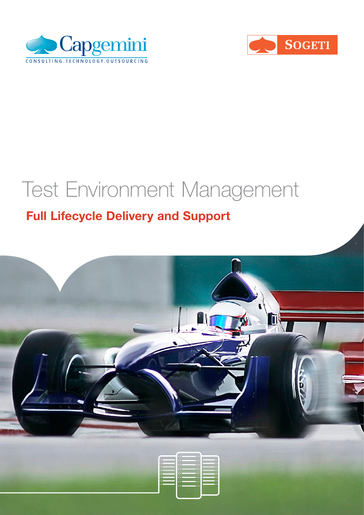



# Test Environment Management

# Full Lifecycle Delivery and Support

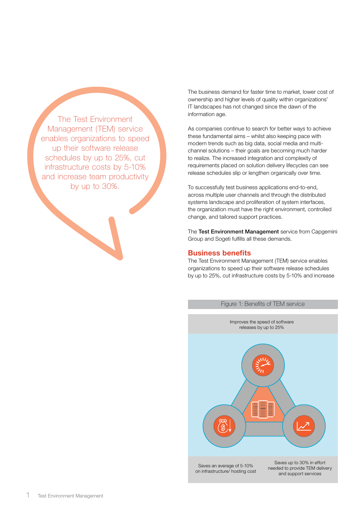The Test Environment Management (TEM) service enables organizations to speed up their software release schedules by up to 25%, cut infrastructure costs by 5-10% and increase team productivity by up to 30%.

The business demand for faster time to market, lower cost of ownership and higher levels of quality within organizations' IT landscapes has not changed since the dawn of the information age.

As companies continue to search for better ways to achieve these fundamental aims – whilst also keeping pace with modern trends such as big data, social media and multichannel solutions – their goals are becoming much harder to realize. The increased integration and complexity of requirements placed on solution delivery lifecycles can see release schedules slip or lengthen organically over time.

To successfully test business applications end-to-end, across multiple user channels and through the distributed systems landscape and proliferation of system interfaces, the organization must have the right environment, controlled change, and tailored support practices.

The Test Environment Management service from Capgemini Group and Sogeti fulfills all these demands.

#### Business benefits

The Test Environment Management (TEM) service enables organizations to speed up their software release schedules by up to 25%, cut infrastructure costs by 5-10% and increase

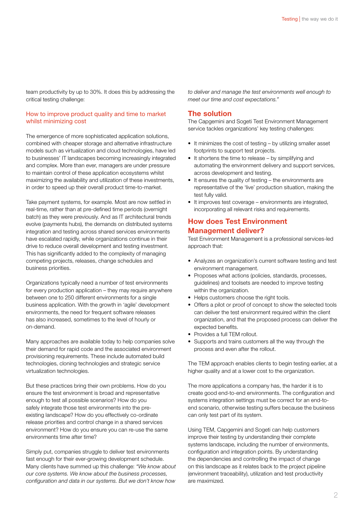team productivity by up to 30%. It does this by addressing the critical testing challenge:

#### How to improve product quality and time to market whilst minimizing cost

The emergence of more sophisticated application solutions, combined with cheaper storage and alternative infrastructure models such as virtualization and cloud technologies, have led to businesses' IT landscapes becoming increasingly integrated and complex. More than ever, managers are under pressure to maintain control of these application ecosystems whilst maximizing the availability and utilization of these investments, in order to speed up their overall product time-to-market.

Take payment systems, for example. Most are now settled in real-time, rather than at pre-defined time periods (overnight batch) as they were previously. And as IT architectural trends evolve (payments hubs), the demands on distributed systems integration and testing across shared services environments have escalated rapidly, while organizations continue in their drive to reduce overall development and testing investment. This has significantly added to the complexity of managing competing projects, releases, change schedules and business priorities.

Organizations typically need a number of test environments for every production application – they may require anywhere between one to 250 different environments for a single business application. With the growth in 'agile' development environments, the need for frequent software releases has also increased, sometimes to the level of hourly or on-demand.

Many approaches are available today to help companies solve their demand for rapid code and the associated environment provisioning requirements. These include automated build technologies, cloning technologies and strategic service virtualization technologies.

But these practices bring their own problems. How do you ensure the test environment is broad and representative enough to test all possible scenarios? How do you safely integrate those test environments into the preexisting landscape? How do you effectively co-ordinate release priorities and control change in a shared services environment? How do you ensure you can re-use the same environments time after time?

Simply put, companies struggle to deliver test environments fast enough for their ever-growing development schedule. Many clients have summed up this challenge: *"We know about our core systems. We know about the business processes, configuration and data in our systems. But we don't know how* 

*to deliver and manage the test environments well enough to meet our time and cost expectations."*

#### The solution

The Capgemini and Sogeti Test Environment Management service tackles organizations' key testing challenges:

- It minimizes the cost of testing by utilizing smaller asset footprints to support test projects.
- It shortens the time to release by simplifying and automating the environment delivery and support services, across development and testing.
- $\bullet$  It ensures the quality of testing the environments are representative of the 'live' production situation, making the test fully valid.
- It improves test coverage environments are integrated, incorporating all relevant risks and requirements.

#### How does Test Environment Management deliver?

Test Environment Management is a professional services-led approach that:

- Analyzes an organization's current software testing and test environment management.
- Proposes what actions (policies, standards, processes, guidelines) and toolsets are needed to improve testing within the organization.
- Helps customers choose the right tools.
- Offers a pilot or proof of concept to show the selected tools can deliver the test environment required within the client organization, and that the proposed process can deliver the expected benefits.
- Provides a full TEM rollout.
- Supports and trains customers all the way through the process and even after the rollout.

The TEM approach enables clients to begin testing earlier, at a higher quality and at a lower cost to the organization.

The more applications a company has, the harder it is to create good end-to-end environments. The configuration and systems integration settings must be correct for an end-toend scenario, otherwise testing suffers because the business can only test part of its system.

Using TEM, Capgemini and Sogeti can help customers improve their testing by understanding their complete systems landscape, including the number of environments, configuration and integration points. By understanding the dependencies and controlling the impact of change on this landscape as it relates back to the project pipeline (environment traceability), utilization and test productivity are maximized.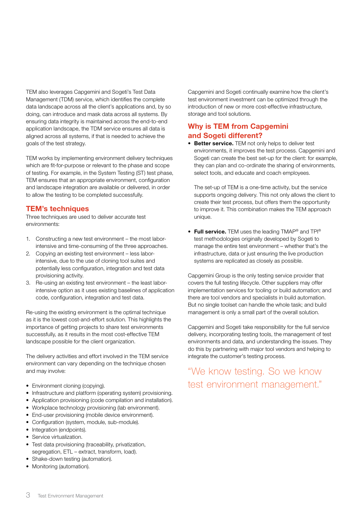TEM also leverages Capgemini and Sogeti's Test Data Management (TDM) service, which identifies the complete data landscape across all the client's applications and, by so doing, can introduce and mask data across all systems. By ensuring data integrity is maintained across the end-to-end application landscape, the TDM service ensures all data is aligned across all systems, if that is needed to achieve the goals of the test strategy.

TEM works by implementing environment delivery techniques which are fit-for-purpose or relevant to the phase and scope of testing. For example, in the System Testing (ST) test phase, TEM ensures that an appropriate environment, configuration and landscape integration are available or delivered, in order to allow the testing to be completed successfully.

#### TEM's techniques

Three techniques are used to deliver accurate test environments:

- 1. Constructing a new test environment the most laborintensive and time-consuming of the three approaches.
- 2. Copying an existing test environment less laborintensive, due to the use of cloning tool suites and potentially less configuration, integration and test data provisioning activity.
- 3. Re-using an existing test environment the least laborintensive option as it uses existing baselines of application code, configuration, integration and test data.

Re-using the existing environment is the optimal technique as it is the lowest cost-and-effort solution. This highlights the importance of getting projects to share test environments successfully, as it results in the most cost-effective TEM landscape possible for the client organization.

The delivery activities and effort involved in the TEM service environment can vary depending on the technique chosen and may involve:

- Environment cloning (copying).
- Infrastructure and platform (operating system) provisioning.
- Application provisioning (code compilation and installation).
- Workplace technology provisioning (lab environment).
- End-user provisioning (mobile device environment).
- Configuration (system, module, sub-module).
- Integration (endpoints).
- Service virtualization.
- Test data provisioning (traceability, privatization, segregation, ETL – extract, transform, load).
- Shake-down testing (automation).
- Monitoring (automation).

Capgemini and Sogeti continually examine how the client's test environment investment can be optimized through the introduction of new or more cost-effective infrastructure, storage and tool solutions.

#### Why is TEM from Capgemini and Sogeti different?

• Better service. TEM not only helps to deliver test environments, it improves the test process. Capgemini and Sogeti can create the best set-up for the client: for example, they can plan and co-ordinate the sharing of environments, select tools, and educate and coach employees.

The set-up of TEM is a one-time activity, but the service supports ongoing delivery. This not only allows the client to create their test process, but offers them the opportunity to improve it. This combination makes the TEM approach unique.

• Full service. TEM uses the leading TMAP® and TPI® test methodologies originally developed by Sogeti to manage the entire test environment – whether that's the infrastructure, data or just ensuring the live production systems are replicated as closely as possible.

Capgemini Group is the only testing service provider that covers the full testing lifecycle. Other suppliers may offer implementation services for tooling or build automation; and there are tool vendors and specialists in build automation. But no single toolset can handle the whole task; and build management is only a small part of the overall solution.

Capgemini and Sogeti take responsibility for the full service delivery, incorporating testing tools, the management of test environments and data, and understanding the issues. They do this by partnering with major tool vendors and helping to integrate the customer's testing process.

### "We know testing. So we know test environment management."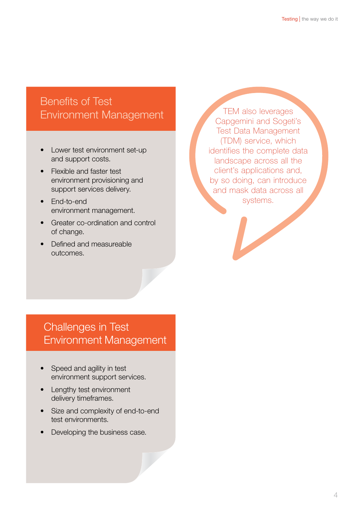# Benefits of Test Environment Management

- Lower test environment set-up and support costs.
- **Flexible and faster test** environment provisioning and support services delivery.
- **End-to-end** environment management.
- Greater co-ordination and control of change.
- **Defined and measureable** outcomes.

TEM also leverages Capgemini and Sogeti's Test Data Management (TDM) service, which identifies the complete data landscape across all the client's applications and, by so doing, can introduce and mask data across all systems.

# Challenges in Test Environment Management

- Speed and agility in test environment support services.
- Lengthy test environment delivery timeframes.
- Size and complexity of end-to-end test environments.
- Developing the business case.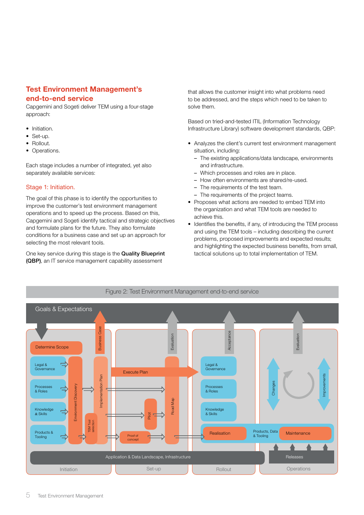#### Test Environment Management's end-to-end service

Capgemini and Sogeti deliver TEM using a four-stage approach:

- Initiation.
- Set-up.
- Rollout.
- Operations.

Each stage includes a number of integrated, yet also separately available services:

#### Stage 1: Initiation.

The goal of this phase is to identify the opportunities to improve the customer's test environment management operations and to speed up the process. Based on this, Capgemini and Sogeti identify tactical and strategic objectives and formulate plans for the future. They also formulate conditions for a business case and set up an approach for selecting the most relevant tools.

One key service during this stage is the Quality Blueprint (QBP), an IT service management capability assessment

that allows the customer insight into what problems need to be addressed, and the steps which need to be taken to solve them.

Based on tried-and-tested ITIL (Information Technology Infrastructure Library) software development standards, QBP:

- Analyzes the client's current test environment management situation, including:
	- The existing applications/data landscape, environments and infrastructure.
	- Which processes and roles are in place.
	- How often environments are shared/re-used.
	- The requirements of the test team.
	- The requirements of the project teams.
- Proposes what actions are needed to embed TEM into the organization and what TEM tools are needed to achieve this.
- Identifies the benefits, if any, of introducing the TEM process and using the TEM tools – including describing the current problems, proposed improvements and expected results; and highlighting the expected business benefits, from small, tactical solutions up to total implementation of TEM.

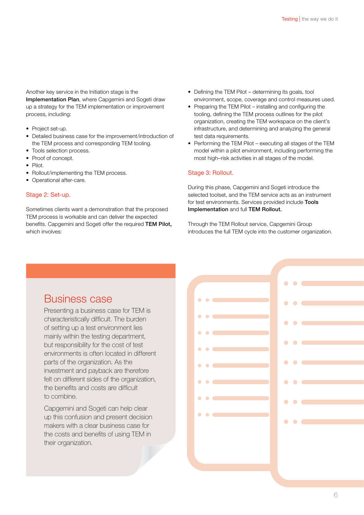Another key service in the Initiation stage is the Implementation Plan, where Capgemini and Sogeti draw up a strategy for the TEM implementation or improvement process, including:

- Project set-up.
- Detailed business case for the improvement/introduction of the TEM process and corresponding TEM tooling.
- Tools selection process.
- Proof of concept.
- • Pilot.
- Rollout/implementing the TEM process.
- Operational after-care.

#### Stage 2: Set-up.

Sometimes clients want a demonstration that the proposed TEM process is workable and can deliver the expected benefits. Capgemini and Sogeti offer the required TEM Pilot, which involves:

- Defining the TEM Pilot determining its goals, tool environment, scope, coverage and control measures used.
- Preparing the TEM Pilot installing and configuring the tooling, defining the TEM process outlines for the pilot organization, creating the TEM workspace on the client's infrastructure, and determining and analyzing the general test data requirements.
- Performing the TEM Pilot executing all stages of the TEM model within a pilot environment, including performing the most high–risk activities in all stages of the model.

#### Stage 3: Rollout.

During this phase, Capgemini and Sogeti introduce the selected toolset, and the TEM service acts as an instrument for test environments. Services provided include Tools Implementation and full TEM Rollout.

Through the TEM Rollout service, Capgemini Group introduces the full TEM cycle into the customer organization.

### Business case

Presenting a business case for TEM is characteristically difficult. The burden of setting up a test environment lies mainly within the testing department, but responsibility for the cost of test environments is often located in different parts of the organization. As the investment and payback are therefore felt on different sides of the organization. the benefits and costs are difficult to combine.

Capgemini and Sogeti can help clear up this confusion and present decision makers with a clear business case for the costs and benefits of using TEM in their organization.

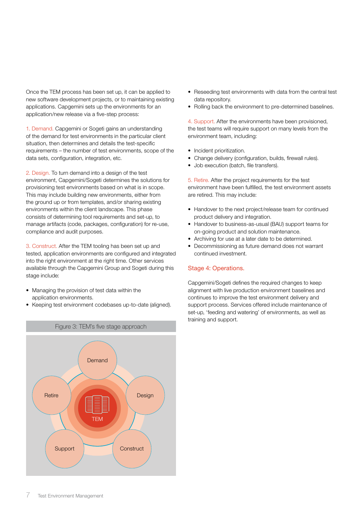Once the TEM process has been set up, it can be applied to new software development projects, or to maintaining existing applications. Capgemini sets up the environments for an application/new release via a five-step process:

1. Demand. Capgemini or Sogeti gains an understanding of the demand for test environments in the particular client situation, then determines and details the test-specific requirements – the number of test environments, scope of the data sets, configuration, integration, etc.

2. Design. To turn demand into a design of the test environment, Capgemini/Sogeti determines the solutions for provisioning test environments based on what is in scope. This may include building new environments, either from the ground up or from templates, and/or sharing existing environments within the client landscape. This phase consists of determining tool requirements and set-up, to manage artifacts (code, packages, configuration) for re-use, compliance and audit purposes.

3. Construct. After the TEM tooling has been set up and tested, application environments are configured and integrated into the right environment at the right time. Other services available through the Capgemini Group and Sogeti during this stage include:

- Managing the provision of test data within the application environments.
- Keeping test environment codebases up-to-date (aligned).



- Reseeding test environments with data from the central test data repository.
- Rolling back the environment to pre-determined baselines.

4. Support. After the environments have been provisioned, the test teams will require support on many levels from the environment team, including:

- Incident prioritization.
- Change delivery (configuration, builds, firewall rules).
- Job execution (batch, file transfers).

5. Retire. After the project requirements for the test environment have been fulfilled, the test environment assets are retired. This may include:

- Handover to the next project/release team for continued product delivery and integration.
- Handover to business-as-usual (BAU) support teams for on-going product and solution maintenance.
- Archiving for use at a later date to be determined.
- Decommissioning as future demand does not warrant continued investment.

#### Stage 4: Operations.

Capgemini/Sogeti defines the required changes to keep alignment with live production environment baselines and continues to improve the test environment delivery and support process. Services offered include maintenance of set-up, 'feeding and watering' of environments, as well as training and support.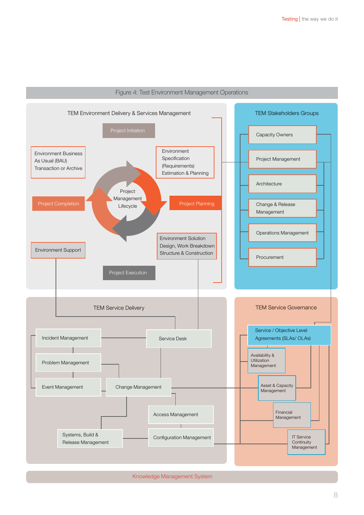

#### Figure 4: Test Environment Management Operations

Knowledge Management System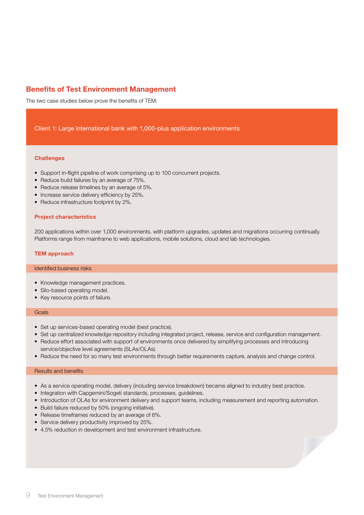#### Benefits of Test Environment Management

The two case studies below prove the benefits of TEM:

#### Client 1: Large international bank with 1,000-plus application environments

#### **Challenges**

- Support in-flight pipeline of work comprising up to 100 concurrent projects.
- Reduce build failures by an average of 75%.
- Reduce release timelines by an average of 5%.
- Increase service delivery efficiency by 25%.
- Reduce infrastructure footprint by 2%.

#### Project characteristics

200 applications within over 1,000 environments, with platform upgrades, updates and migrations occurring continually. Platforms range from mainframe to web applications, mobile solutions, cloud and lab technologies.

#### TEM approach

#### Identified business risks

- Knowledge management practices.
- Silo-based operating model.
- Key resource points of failure.

#### Goals

- Set up services-based operating model (best practice).
- Set up centralized knowledge repository including integrated project, release, service and configuration management.
- Reduce effort associated with support of environments once delivered by simplifying processes and introducing service/objective level agreements (SLAs/OLAs).
- Reduce the need for so many test environments through better requirements capture, analysis and change control.

#### Results and benefits

- As a service operating model, delivery (including service breakdown) became aligned to industry best practice.
- Integration with Capgemini/Sogeti standards, processes, guidelines.
- Introduction of OLAs for environment delivery and support teams, including measurement and reporting automation.
- Build failure reduced by 50% (ongoing initiative).
- Release timeframes reduced by an average of 6%.
- Service delivery productivity improved by 25%.
- 4.5% reduction in development and test environment infrastructure.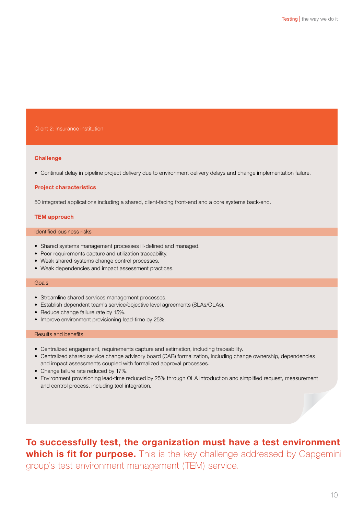#### Client 2: Insurance institution

#### **Challenge**

• Continual delay in pipeline project delivery due to environment delivery delays and change implementation failure.

#### Project characteristics

50 integrated applications including a shared, client-facing front-end and a core systems back-end.

#### TEM approach

#### Identified business risks

- Shared systems management processes ill-defined and managed.
- Poor requirements capture and utilization traceability.
- Weak shared-systems change control processes.
- Weak dependencies and impact assessment practices.

#### Goals

- Streamline shared services management processes.
- Establish dependent team's service/objective level agreements (SLAs/OLAs).
- Reduce change failure rate by 15%.
- Improve environment provisioning lead-time by 25%.

#### Results and benefits

- Centralized engagement, requirements capture and estimation, including traceability.
- • Centralized shared service change advisory board (CAB) formalization, including change ownership, dependencies and impact assessments coupled with formalized approval processes.
- Change failure rate reduced by 17%.
- • Environment provisioning lead-time reduced by 25% through OLA introduction and simplified request, measurement and control process, including tool integration.

To successfully test, the organization must have a test environment which is fit for purpose. This is the key challenge addressed by Capgemini group's test environment management (TEM) service.